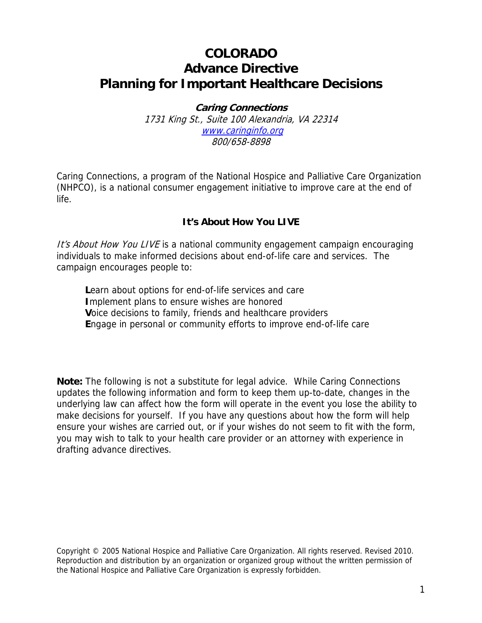# **COLORADO Advance Directive Planning for Important Healthcare Decisions**

**Caring Connections**  1731 King St., Suite 100 Alexandria, VA 22314 www.caringinfo.org 800/658-8898

Caring Connections, a program of the National Hospice and Palliative Care Organization (NHPCO), is a national consumer engagement initiative to improve care at the end of life.

# **It's About How You LIVE**

It's About How You LIVE is a national community engagement campaign encouraging individuals to make informed decisions about end-of-life care and services. The campaign encourages people to:

**L**earn about options for end-of-life services and care **I**mplement plans to ensure wishes are honored **V**oice decisions to family, friends and healthcare providers **E**ngage in personal or community efforts to improve end-of-life care

**Note:** The following is not a substitute for legal advice. While Caring Connections updates the following information and form to keep them up-to-date, changes in the underlying law can affect how the form will operate in the event you lose the ability to make decisions for yourself. If you have any questions about how the form will help ensure your wishes are carried out, or if your wishes do not seem to fit with the form, you may wish to talk to your health care provider or an attorney with experience in drafting advance directives.

Copyright © 2005 National Hospice and Palliative Care Organization. All rights reserved. Revised 2010. Reproduction and distribution by an organization or organized group without the written permission of the National Hospice and Palliative Care Organization is expressly forbidden.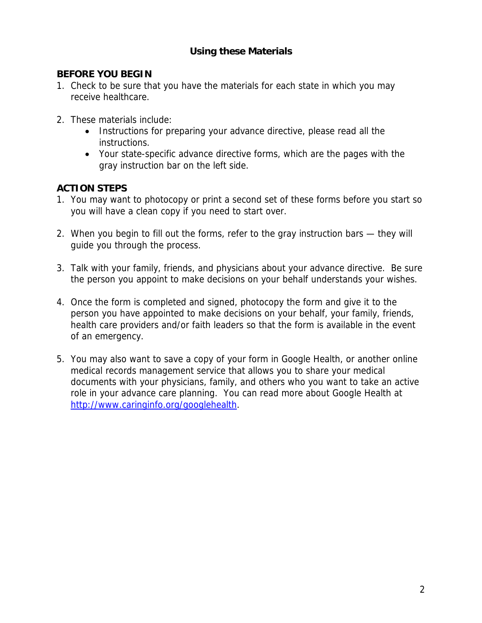# **Using these Materials**

# **BEFORE YOU BEGIN**

- 1. Check to be sure that you have the materials for each state in which you may receive healthcare.
- 2. These materials include:
	- Instructions for preparing your advance directive, please read all the instructions.
	- Your state-specific advance directive forms, which are the pages with the gray instruction bar on the left side.

# **ACTION STEPS**

- 1. You may want to photocopy or print a second set of these forms before you start so you will have a clean copy if you need to start over.
- 2. When you begin to fill out the forms, refer to the gray instruction bars they will guide you through the process.
- 3. Talk with your family, friends, and physicians about your advance directive. Be sure the person you appoint to make decisions on your behalf understands your wishes.
- 4. Once the form is completed and signed, photocopy the form and give it to the person you have appointed to make decisions on your behalf, your family, friends, health care providers and/or faith leaders so that the form is available in the event of an emergency.
- 5. You may also want to save a copy of your form in Google Health, or another online medical records management service that allows you to share your medical documents with your physicians, family, and others who you want to take an active role in your advance care planning. You can read more about Google Health at http://www.caringinfo.org/googlehealth.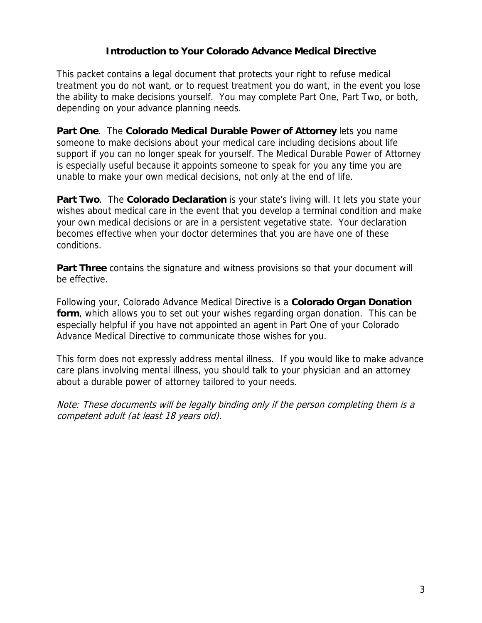# **Introduction to Your Colorado Advance Medical Directive**

This packet contains a legal document that protects your right to refuse medical treatment you do not want, or to request treatment you do want, in the event you lose the ability to make decisions yourself. You may complete Part One, Part Two, or both, depending on your advance planning needs.

**Part One**. The **Colorado Medical Durable Power of Attorney** lets you name someone to make decisions about your medical care including decisions about life support if you can no longer speak for yourself. The Medical Durable Power of Attorney is especially useful because it appoints someone to speak for you any time you are unable to make your own medical decisions, not only at the end of life.

**Part Two**. The **Colorado Declaration** is your state's living will. It lets you state your wishes about medical care in the event that you develop a terminal condition and make your own medical decisions or are in a persistent vegetative state. Your declaration becomes effective when your doctor determines that you are have one of these conditions.

**Part Three** contains the signature and witness provisions so that your document will be effective.

Following your, Colorado Advance Medical Directive is a **Colorado Organ Donation form**, which allows you to set out your wishes regarding organ donation. This can be especially helpful if you have not appointed an agent in Part One of your Colorado Advance Medical Directive to communicate those wishes for you.

This form does not expressly address mental illness. If you would like to make advance care plans involving mental illness, you should talk to your physician and an attorney about a durable power of attorney tailored to your needs.

Note: These documents will be legally binding only if the person completing them is a competent adult (at least 18 years old).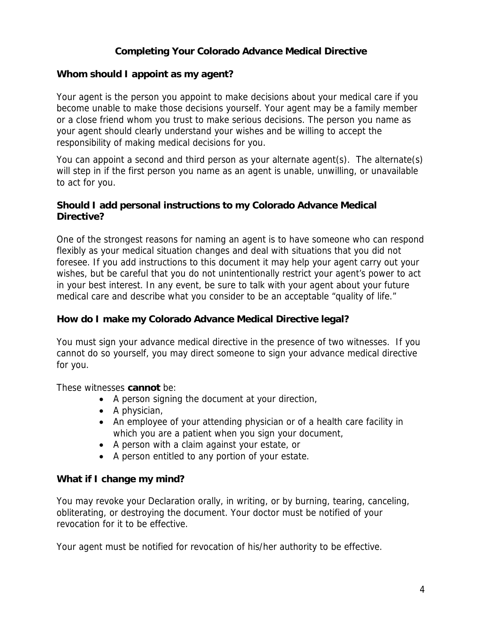# **Completing Your Colorado Advance Medical Directive**

# **Whom should I appoint as my agent?**

Your agent is the person you appoint to make decisions about your medical care if you become unable to make those decisions yourself. Your agent may be a family member or a close friend whom you trust to make serious decisions. The person you name as your agent should clearly understand your wishes and be willing to accept the responsibility of making medical decisions for you.

You can appoint a second and third person as your alternate agent(s). The alternate(s) will step in if the first person you name as an agent is unable, unwilling, or unavailable to act for you.

#### **Should I add personal instructions to my Colorado Advance Medical Directive?**

One of the strongest reasons for naming an agent is to have someone who can respond flexibly as your medical situation changes and deal with situations that you did not foresee. If you add instructions to this document it may help your agent carry out your wishes, but be careful that you do not unintentionally restrict your agent's power to act in your best interest. In any event, be sure to talk with your agent about your future medical care and describe what you consider to be an acceptable "quality of life."

# **How do I make my Colorado Advance Medical Directive legal?**

You must sign your advance medical directive in the presence of two witnesses. If you cannot do so yourself, you may direct someone to sign your advance medical directive for you.

These witnesses **cannot** be:

- A person signing the document at your direction,
- A physician,
- An employee of your attending physician or of a health care facility in which you are a patient when you sign your document,
- A person with a claim against your estate, or
- A person entitled to any portion of your estate.

#### **What if I change my mind?**

You may revoke your Declaration orally, in writing, or by burning, tearing, canceling, obliterating, or destroying the document. Your doctor must be notified of your revocation for it to be effective.

Your agent must be notified for revocation of his/her authority to be effective.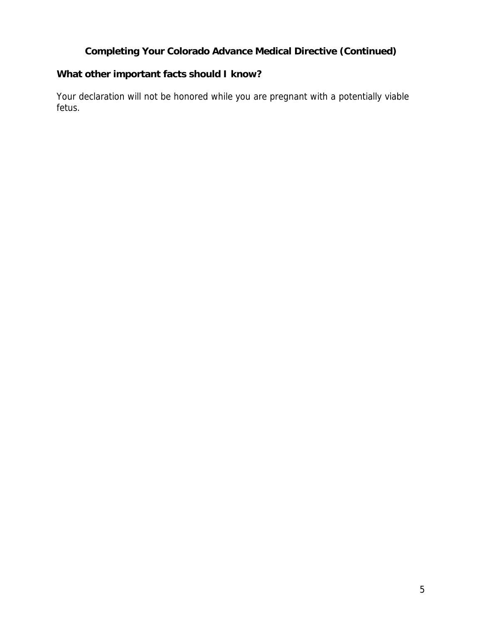# **Completing Your Colorado Advance Medical Directive (Continued)**

# **What other important facts should I know?**

Your declaration will not be honored while you are pregnant with a potentially viable fetus.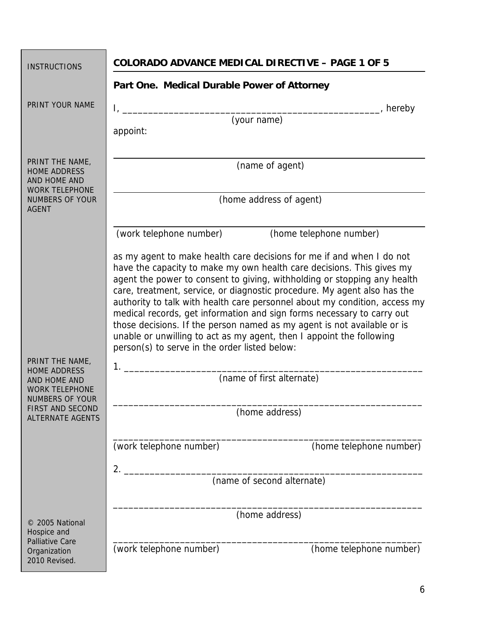| <b>INSTRUCTIONS</b>                                                             | <b>COLORADO ADVANCE MEDICAL DIRECTIVE - PAGE 1 OF 5</b>                                                                                                                                                                                                                                                                                                                                                                                                                                                                                                                                                                                                                                                                |                         |
|---------------------------------------------------------------------------------|------------------------------------------------------------------------------------------------------------------------------------------------------------------------------------------------------------------------------------------------------------------------------------------------------------------------------------------------------------------------------------------------------------------------------------------------------------------------------------------------------------------------------------------------------------------------------------------------------------------------------------------------------------------------------------------------------------------------|-------------------------|
|                                                                                 | Part One. Medical Durable Power of Attorney                                                                                                                                                                                                                                                                                                                                                                                                                                                                                                                                                                                                                                                                            |                         |
| PRINT YOUR NAME                                                                 |                                                                                                                                                                                                                                                                                                                                                                                                                                                                                                                                                                                                                                                                                                                        | ________, hereby        |
|                                                                                 | (vour name)<br>appoint:                                                                                                                                                                                                                                                                                                                                                                                                                                                                                                                                                                                                                                                                                                |                         |
| PRINT THE NAME,<br><b>HOME ADDRESS</b><br>AND HOME AND<br><b>WORK TELEPHONE</b> | (name of agent)                                                                                                                                                                                                                                                                                                                                                                                                                                                                                                                                                                                                                                                                                                        |                         |
| <b>NUMBERS OF YOUR</b><br><b>AGENT</b>                                          | (home address of agent)                                                                                                                                                                                                                                                                                                                                                                                                                                                                                                                                                                                                                                                                                                |                         |
|                                                                                 | (work telephone number)                                                                                                                                                                                                                                                                                                                                                                                                                                                                                                                                                                                                                                                                                                | (home telephone number) |
| PRINT THE NAME,<br><b>HOME ADDRESS</b><br>AND HOME AND                          | as my agent to make health care decisions for me if and when I do not<br>have the capacity to make my own health care decisions. This gives my<br>agent the power to consent to giving, withholding or stopping any health<br>care, treatment, service, or diagnostic procedure. My agent also has the<br>authority to talk with health care personnel about my condition, access my<br>medical records, get information and sign forms necessary to carry out<br>those decisions. If the person named as my agent is not available or is<br>unable or unwilling to act as my agent, then I appoint the following<br>person(s) to serve in the order listed below:<br>$1.$ $\blacksquare$<br>(name of first alternate) |                         |
| <b>WORK TELEPHONE</b><br><b>NUMBERS OF YOUR</b>                                 |                                                                                                                                                                                                                                                                                                                                                                                                                                                                                                                                                                                                                                                                                                                        |                         |
| <b>FIRST AND SECOND</b><br><b>ALTERNATE AGENTS</b>                              | (home address)                                                                                                                                                                                                                                                                                                                                                                                                                                                                                                                                                                                                                                                                                                         |                         |
|                                                                                 | (work telephone number)                                                                                                                                                                                                                                                                                                                                                                                                                                                                                                                                                                                                                                                                                                | (home telephone number) |
|                                                                                 | 2.                                                                                                                                                                                                                                                                                                                                                                                                                                                                                                                                                                                                                                                                                                                     |                         |
|                                                                                 | (name of second alternate)                                                                                                                                                                                                                                                                                                                                                                                                                                                                                                                                                                                                                                                                                             |                         |
| © 2005 National<br>Hospice and                                                  | (home address)                                                                                                                                                                                                                                                                                                                                                                                                                                                                                                                                                                                                                                                                                                         |                         |
| <b>Palliative Care</b><br>Organization<br>2010 Revised.                         | (work telephone number)                                                                                                                                                                                                                                                                                                                                                                                                                                                                                                                                                                                                                                                                                                | (home telephone number) |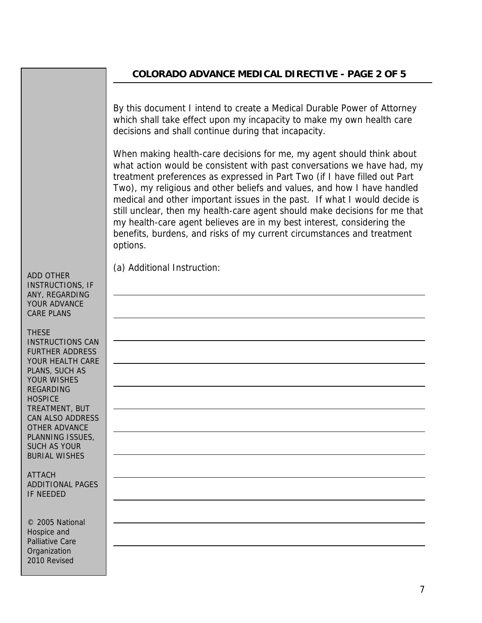# **COLORADO ADVANCE MEDICAL DIRECTIVE - PAGE 2 OF 5**

By this document I intend to create a Medical Durable Power of Attorney which shall take effect upon my incapacity to make my own health care decisions and shall continue during that incapacity.

When making health-care decisions for me, my agent should think about what action would be consistent with past conversations we have had, my treatment preferences as expressed in Part Two (if I have filled out Part Two), my religious and other beliefs and values, and how I have handled medical and other important issues in the past. If what I would decide is still unclear, then my health-care agent should make decisions for me that my health-care agent believes are in my best interest, considering the benefits, burdens, and risks of my current circumstances and treatment options.

(a) Additional Instruction:

ADD OTHER INSTRUCTIONS, IF ANY, REGARDING YOUR ADVANCE CARE PLANS

 $\overline{a}$ 

THESE INSTRUCTIONS CAN FURTHER ADDRESS YOUR HEALTH CARE PLANS, SUCH AS YOUR WISHES REGARDING **HOSPICE** TREATMENT, BUT CAN ALSO ADDRESS OTHER ADVANCE PLANNING ISSUES, SUCH AS YOUR BURIAL WISHES

ATTACH ADDITIONAL PAGES IF NEEDED

© 2005 National Hospice and Palliative Care **Organization** 2010 Revised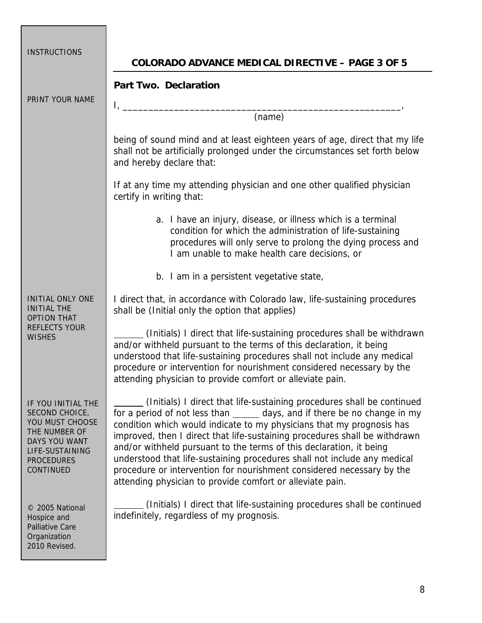| <b>INSTRUCTIONS</b>                                                                                                                                   | <b>COLORADO ADVANCE MEDICAL DIRECTIVE - PAGE 3 OF 5</b>                                                                                                                                                                                                                                                                                                                                                                                                                                                                                                                                              |
|-------------------------------------------------------------------------------------------------------------------------------------------------------|------------------------------------------------------------------------------------------------------------------------------------------------------------------------------------------------------------------------------------------------------------------------------------------------------------------------------------------------------------------------------------------------------------------------------------------------------------------------------------------------------------------------------------------------------------------------------------------------------|
| PRINT YOUR NAME                                                                                                                                       | <b>Part Two. Declaration</b>                                                                                                                                                                                                                                                                                                                                                                                                                                                                                                                                                                         |
|                                                                                                                                                       | Ι,<br>(name)                                                                                                                                                                                                                                                                                                                                                                                                                                                                                                                                                                                         |
|                                                                                                                                                       | being of sound mind and at least eighteen years of age, direct that my life<br>shall not be artificially prolonged under the circumstances set forth below<br>and hereby declare that:                                                                                                                                                                                                                                                                                                                                                                                                               |
|                                                                                                                                                       | If at any time my attending physician and one other qualified physician<br>certify in writing that:                                                                                                                                                                                                                                                                                                                                                                                                                                                                                                  |
|                                                                                                                                                       | a. I have an injury, disease, or illness which is a terminal<br>condition for which the administration of life-sustaining<br>procedures will only serve to prolong the dying process and<br>I am unable to make health care decisions, or                                                                                                                                                                                                                                                                                                                                                            |
|                                                                                                                                                       | b. I am in a persistent vegetative state,                                                                                                                                                                                                                                                                                                                                                                                                                                                                                                                                                            |
| <b>INITIAL ONLY ONE</b><br><b>INITIAL THE</b><br><b>OPTION THAT</b><br><b>REFLECTS YOUR</b><br><b>WISHES</b>                                          | I direct that, in accordance with Colorado law, life-sustaining procedures<br>shall be (Initial only the option that applies)                                                                                                                                                                                                                                                                                                                                                                                                                                                                        |
|                                                                                                                                                       | (Initials) I direct that life-sustaining procedures shall be withdrawn<br>and/or withheld pursuant to the terms of this declaration, it being<br>understood that life-sustaining procedures shall not include any medical<br>procedure or intervention for nourishment considered necessary by the<br>attending physician to provide comfort or alleviate pain.                                                                                                                                                                                                                                      |
| IF YOU INITIAL THE<br>SECOND CHOICE,<br>YOU MUST CHOOSE<br>THE NUMBER OF<br>DAYS YOU WANT<br>LIFE-SUSTAINING<br><b>PROCEDURES</b><br><b>CONTINUED</b> | (Initials) I direct that life-sustaining procedures shall be continued<br>for a period of not less than ______ days, and if there be no change in my<br>condition which would indicate to my physicians that my prognosis has<br>improved, then I direct that life-sustaining procedures shall be withdrawn<br>and/or withheld pursuant to the terms of this declaration, it being<br>understood that life-sustaining procedures shall not include any medical<br>procedure or intervention for nourishment considered necessary by the<br>attending physician to provide comfort or alleviate pain. |
| © 2005 National<br>Hospice and<br><b>Palliative Care</b><br>Organization<br>2010 Revised.                                                             | (Initials) I direct that life-sustaining procedures shall be continued<br>indefinitely, regardless of my prognosis.                                                                                                                                                                                                                                                                                                                                                                                                                                                                                  |

Г

<u> Tanzania (</u>

٦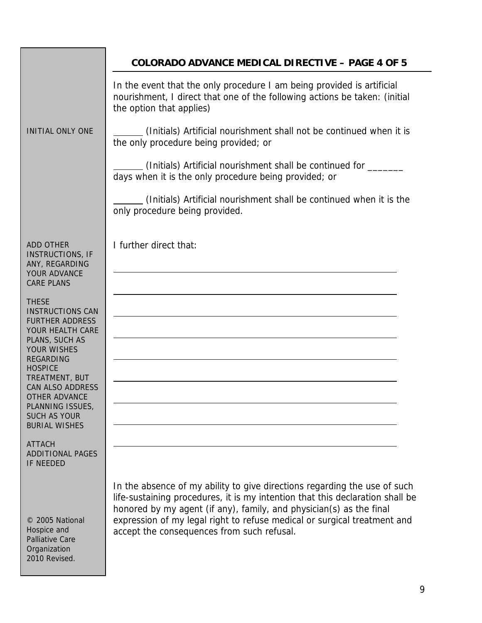|                                                                                                                                                                                                                                                                                                             | <b>COLORADO ADVANCE MEDICAL DIRECTIVE - PAGE 4 OF 5</b>                                                                                                                                                                                                                                                                                                     |
|-------------------------------------------------------------------------------------------------------------------------------------------------------------------------------------------------------------------------------------------------------------------------------------------------------------|-------------------------------------------------------------------------------------------------------------------------------------------------------------------------------------------------------------------------------------------------------------------------------------------------------------------------------------------------------------|
|                                                                                                                                                                                                                                                                                                             | In the event that the only procedure I am being provided is artificial<br>nourishment, I direct that one of the following actions be taken: (initial<br>the option that applies)                                                                                                                                                                            |
| <b>INITIAL ONLY ONE</b>                                                                                                                                                                                                                                                                                     | (Initials) Artificial nourishment shall not be continued when it is<br>the only procedure being provided; or                                                                                                                                                                                                                                                |
|                                                                                                                                                                                                                                                                                                             | (Initials) Artificial nourishment shall be continued for _______<br>days when it is the only procedure being provided; or                                                                                                                                                                                                                                   |
|                                                                                                                                                                                                                                                                                                             | (Initials) Artificial nourishment shall be continued when it is the<br>only procedure being provided.                                                                                                                                                                                                                                                       |
| <b>ADD OTHER</b><br><b>INSTRUCTIONS, IF</b><br>ANY, REGARDING<br>YOUR ADVANCE<br><b>CARE PLANS</b>                                                                                                                                                                                                          | I further direct that:                                                                                                                                                                                                                                                                                                                                      |
| <b>THESE</b><br><b>INSTRUCTIONS CAN</b><br><b>FURTHER ADDRESS</b><br>YOUR HEALTH CARE<br>PLANS, SUCH AS<br><b>YOUR WISHES</b><br><b>REGARDING</b><br><b>HOSPICE</b><br>TREATMENT, BUT<br><b>CAN ALSO ADDRESS</b><br><b>OTHER ADVANCE</b><br>PLANNING ISSUES,<br><b>SUCH AS YOUR</b><br><b>BURIAL WISHES</b> |                                                                                                                                                                                                                                                                                                                                                             |
| <b>ATTACH</b><br><b>ADDITIONAL PAGES</b><br><b>IF NEEDED</b>                                                                                                                                                                                                                                                |                                                                                                                                                                                                                                                                                                                                                             |
| © 2005 National<br>Hospice and                                                                                                                                                                                                                                                                              | In the absence of my ability to give directions regarding the use of such<br>life-sustaining procedures, it is my intention that this declaration shall be<br>honored by my agent (if any), family, and physician(s) as the final<br>expression of my legal right to refuse medical or surgical treatment and<br>accept the consequences from such refusal. |

Palliative Care **Organization** 2010 Revised.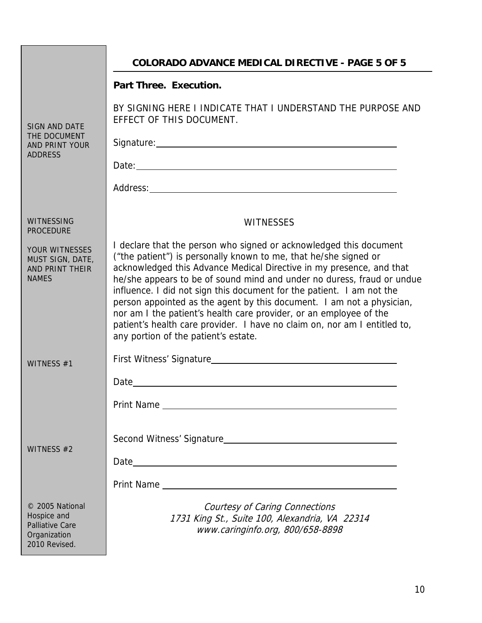|                                                                                           | <b>COLORADO ADVANCE MEDICAL DIRECTIVE - PAGE 5 OF 5</b>                                                                                                                                                                                                                                                                                                                                                                                                                                                                                                                                                                               |  |
|-------------------------------------------------------------------------------------------|---------------------------------------------------------------------------------------------------------------------------------------------------------------------------------------------------------------------------------------------------------------------------------------------------------------------------------------------------------------------------------------------------------------------------------------------------------------------------------------------------------------------------------------------------------------------------------------------------------------------------------------|--|
|                                                                                           | <b>Part Three. Execution.</b>                                                                                                                                                                                                                                                                                                                                                                                                                                                                                                                                                                                                         |  |
| <b>SIGN AND DATE</b><br>THE DOCUMENT<br>AND PRINT YOUR<br><b>ADDRESS</b>                  | BY SIGNING HERE I INDICATE THAT I UNDERSTAND THE PURPOSE AND<br>EFFECT OF THIS DOCUMENT.                                                                                                                                                                                                                                                                                                                                                                                                                                                                                                                                              |  |
|                                                                                           | Signature: Management Contract Contract Contract Contract Contract Contract Contract Contract Contract Contract Contract Contract Contract Contract Contract Contract Contract Contract Contract Contract Contract Contract Co                                                                                                                                                                                                                                                                                                                                                                                                        |  |
|                                                                                           |                                                                                                                                                                                                                                                                                                                                                                                                                                                                                                                                                                                                                                       |  |
|                                                                                           |                                                                                                                                                                                                                                                                                                                                                                                                                                                                                                                                                                                                                                       |  |
| <b>WITNESSING</b>                                                                         | <b>WITNESSES</b>                                                                                                                                                                                                                                                                                                                                                                                                                                                                                                                                                                                                                      |  |
| <b>PROCEDURE</b>                                                                          |                                                                                                                                                                                                                                                                                                                                                                                                                                                                                                                                                                                                                                       |  |
| YOUR WITNESSES<br>MUST SIGN, DATE,<br>AND PRINT THEIR<br><b>NAMES</b>                     | I declare that the person who signed or acknowledged this document<br>("the patient") is personally known to me, that he/she signed or<br>acknowledged this Advance Medical Directive in my presence, and that<br>he/she appears to be of sound mind and under no duress, fraud or undue<br>influence. I did not sign this document for the patient. I am not the<br>person appointed as the agent by this document. I am not a physician,<br>nor am I the patient's health care provider, or an employee of the<br>patient's health care provider. I have no claim on, nor am I entitled to,<br>any portion of the patient's estate. |  |
| WITNESS #1                                                                                |                                                                                                                                                                                                                                                                                                                                                                                                                                                                                                                                                                                                                                       |  |
|                                                                                           | Date                                                                                                                                                                                                                                                                                                                                                                                                                                                                                                                                                                                                                                  |  |
|                                                                                           |                                                                                                                                                                                                                                                                                                                                                                                                                                                                                                                                                                                                                                       |  |
| WITNESS #2                                                                                |                                                                                                                                                                                                                                                                                                                                                                                                                                                                                                                                                                                                                                       |  |
|                                                                                           |                                                                                                                                                                                                                                                                                                                                                                                                                                                                                                                                                                                                                                       |  |
| © 2005 National<br>Hospice and<br><b>Palliative Care</b><br>Organization<br>2010 Revised. | Courtesy of Caring Connections<br>1731 King St., Suite 100, Alexandria, VA 22314<br>www.caringinfo.org, 800/658-8898                                                                                                                                                                                                                                                                                                                                                                                                                                                                                                                  |  |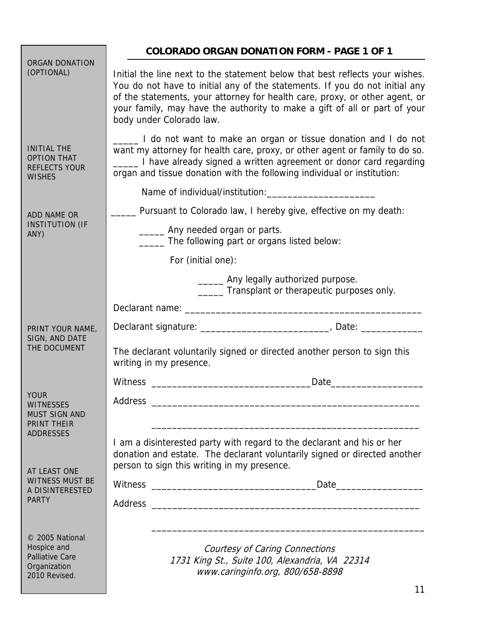|                                                                                           | <b>COLORADO ORGAN DONATION FORM - PAGE 1 OF 1</b>                                                                                                                                                                                                                                                                                                   |  |
|-------------------------------------------------------------------------------------------|-----------------------------------------------------------------------------------------------------------------------------------------------------------------------------------------------------------------------------------------------------------------------------------------------------------------------------------------------------|--|
| <b>ORGAN DONATION</b><br>(OPTIONAL)                                                       | Initial the line next to the statement below that best reflects your wishes.<br>You do not have to initial any of the statements. If you do not initial any<br>of the statements, your attorney for health care, proxy, or other agent, or<br>your family, may have the authority to make a gift of all or part of your<br>body under Colorado law. |  |
| <b>INITIAL THE</b><br><b>OPTION THAT</b><br><b>REFLECTS YOUR</b><br><b>WISHES</b>         | Let I do not want to make an organ or tissue donation and I do not<br>want my attorney for health care, proxy, or other agent or family to do so.<br>1 have already signed a written agreement or donor card regarding<br>organ and tissue donation with the following individual or institution:                                                   |  |
|                                                                                           |                                                                                                                                                                                                                                                                                                                                                     |  |
| ADD NAME OR<br><b>INSTITUTION (IF</b><br>ANY)                                             | __ Pursuant to Colorado law, I hereby give, effective on my death:                                                                                                                                                                                                                                                                                  |  |
|                                                                                           | _______ Any needed organ or parts.<br>The following part or organs listed below:                                                                                                                                                                                                                                                                    |  |
|                                                                                           | For (initial one):                                                                                                                                                                                                                                                                                                                                  |  |
|                                                                                           | ______ Any legally authorized purpose.<br>______ Transplant or therapeutic purposes only.                                                                                                                                                                                                                                                           |  |
|                                                                                           |                                                                                                                                                                                                                                                                                                                                                     |  |
| PRINT YOUR NAME,<br>SIGN, AND DATE<br>THE DOCUMENT                                        | Declarant signature: _________________________________, Date: __________                                                                                                                                                                                                                                                                            |  |
|                                                                                           | The declarant voluntarily signed or directed another person to sign this<br>writing in my presence.                                                                                                                                                                                                                                                 |  |
|                                                                                           | Witness<br>Date<br><u> 1980 - Jan James James Barnett, martin de la provincia de la provincia de la provincia de la provincia de la</u>                                                                                                                                                                                                             |  |
| <b>YOUR</b><br><b>WITNESSES</b><br><b>MUST SIGN AND</b><br>PRINT THEIR                    | Address<br><u> 1980 - Jan James James Barnett, amerikan bizko bat da bat da bat da bat da bat da bat da bat da bat da bat d</u>                                                                                                                                                                                                                     |  |
| <b>ADDRESSES</b>                                                                          | I am a disinterested party with regard to the declarant and his or her<br>donation and estate. The declarant voluntarily signed or directed another<br>person to sign this writing in my presence.                                                                                                                                                  |  |
| AT LEAST ONE<br><b>WITNESS MUST BE</b><br>A DISINTERESTED<br><b>PARTY</b>                 |                                                                                                                                                                                                                                                                                                                                                     |  |
|                                                                                           |                                                                                                                                                                                                                                                                                                                                                     |  |
| © 2005 National<br>Hospice and<br><b>Palliative Care</b><br>Organization<br>2010 Revised. | Courtesy of Caring Connections<br>1731 King St., Suite 100, Alexandria, VA 22314<br>www.caringinfo.org, 800/658-8898                                                                                                                                                                                                                                |  |